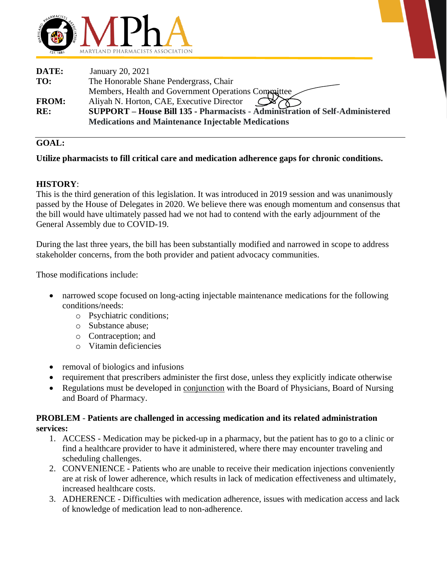

| DATE:        | January 20, 2021                                                             |
|--------------|------------------------------------------------------------------------------|
| TO:          | The Honorable Shane Pendergrass, Chair                                       |
|              | Members, Health and Government Operations Compaittee                         |
| <b>FROM:</b> | Aliyah N. Horton, CAE, Executive Director                                    |
| RE:          | SUPPORT - House Bill 135 - Pharmacists - Administration of Self-Administered |
|              | <b>Medications and Maintenance Injectable Medications</b>                    |

## **GOAL:**

## **Utilize pharmacists to fill critical care and medication adherence gaps for chronic conditions.**

## **HISTORY**:

This is the third generation of this legislation. It was introduced in 2019 session and was unanimously passed by the House of Delegates in 2020. We believe there was enough momentum and consensus that the bill would have ultimately passed had we not had to contend with the early adjournment of the General Assembly due to COVID-19.

During the last three years, the bill has been substantially modified and narrowed in scope to address stakeholder concerns, from the both provider and patient advocacy communities.

Those modifications include:

- narrowed scope focused on long-acting injectable maintenance medications for the following conditions/needs:
	- o Psychiatric conditions;
	- o Substance abuse;
	- o Contraception; and
	- o Vitamin deficiencies
- removal of biologics and infusions
- requirement that prescribers administer the first dose, unless they explicitly indicate otherwise
- Regulations must be developed in conjunction with the Board of Physicians, Board of Nursing and Board of Pharmacy.

#### **PROBLEM** - **Patients are challenged in accessing medication and its related administration services:**

- 1. ACCESS Medication may be picked-up in a pharmacy, but the patient has to go to a clinic or find a healthcare provider to have it administered, where there may encounter traveling and scheduling challenges.
- 2. CONVENIENCE Patients who are unable to receive their medication injections conveniently are at risk of lower adherence, which results in lack of medication effectiveness and ultimately, increased healthcare costs.
- 3. ADHERENCE Difficulties with medication adherence, issues with medication access and lack of knowledge of medication lead to non-adherence.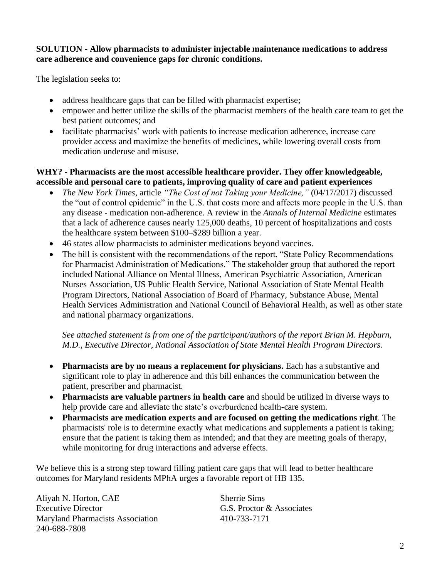# **SOLUTION** - **Allow pharmacists to administer injectable maintenance medications to address care adherence and convenience gaps for chronic conditions.**

The legislation seeks to:

- address healthcare gaps that can be filled with pharmacist expertise;
- empower and better utilize the skills of the pharmacist members of the health care team to get the best patient outcomes; and
- facilitate pharmacists' work with patients to increase medication adherence, increase care provider access and maximize the benefits of medicines, while lowering overall costs from medication underuse and misuse.

# **WHY? - Pharmacists are the most accessible healthcare provider. They offer knowledgeable, accessible and personal care to patients, improving quality of care and patient experiences**

- *The New York Times,* article *"The Cost of not Taking your Medicine,"* (04/17/2017) discussed the "out of control epidemic" in the U.S. that costs more and affects more people in the U.S. than any disease - medication non-adherence. A [review](http://annals.org/aim/article/1357338/interventions-improve-adherence-self-administered-medications-chronic-diseases-united-states) in the *Annals of Internal Medicine* estimates that a lack of adherence causes nearly 125,000 deaths, 10 percent of hospitalizations and costs the healthcare system between \$100–\$289 billion a year.
- 46 states allow pharmacists to administer medications beyond vaccines.
- The bill is consistent with the recommendations of the report, "State Policy Recommendations" for Pharmacist Administration of Medications." The stakeholder group that authored the report included National Alliance on Mental Illness, American Psychiatric Association, American Nurses Association, US Public Health Service, National Association of State Mental Health Program Directors, National Association of Board of Pharmacy, Substance Abuse, Mental Health Services Administration and National Council of Behavioral Health, as well as other state and national pharmacy organizations.

*See attached statement is from one of the participant/authors of the report Brian M. Hepburn, M.D., Executive Director, National Association of State Mental Health Program Directors.*

- **Pharmacists are by no means a replacement for physicians.** Each has a substantive and significant role to play in adherence and this bill enhances the communication between the patient, prescriber and pharmacist.
- **Pharmacists are valuable partners in health care** and should be utilized in diverse ways to help provide care and alleviate the state's overburdened health-care system.
- **Pharmacists are medication experts and are focused on getting the medications right**. The pharmacists' role is to determine exactly what medications and supplements a patient is taking; ensure that the patient is taking them as intended; and that they are meeting goals of therapy, while monitoring for drug interactions and adverse effects.

We believe this is a strong step toward filling patient care gaps that will lead to better healthcare outcomes for Maryland residents MPhA urges a favorable report of HB 135.

Aliyah N. Horton, CAE Sherrie Sims Executive Director G.S. Proctor & Associates Maryland Pharmacists Association 410-733-7171 240-688-7808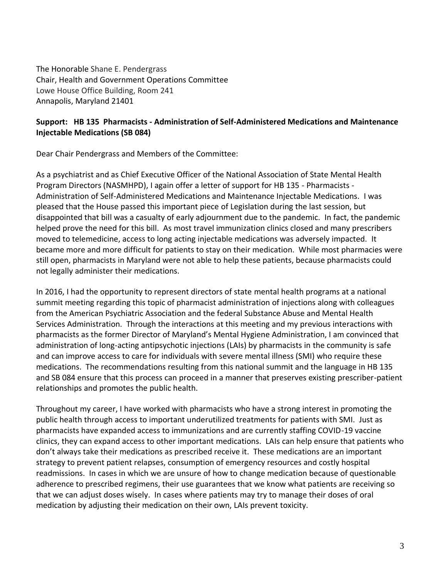The Honorable Shane E. Pendergrass Chair, Health and Government Operations Committee Lowe House Office Building, Room 241 Annapolis, Maryland 21401

# **Support: HB 135 Pharmacists - Administration of Self-Administered Medications and Maintenance Injectable Medications (SB 084)**

Dear Chair Pendergrass and Members of the Committee:

As a psychiatrist and as Chief Executive Officer of the National Association of State Mental Health Program Directors (NASMHPD), I again offer a letter of support for HB 135 - Pharmacists - Administration of Self-Administered Medications and Maintenance Injectable Medications. I was pleased that the House passed this important piece of Legislation during the last session, but disappointed that bill was a casualty of early adjournment due to the pandemic. In fact, the pandemic helped prove the need for this bill. As most travel immunization clinics closed and many prescribers moved to telemedicine, access to long acting injectable medications was adversely impacted. It became more and more difficult for patients to stay on their medication. While most pharmacies were still open, pharmacists in Maryland were not able to help these patients, because pharmacists could not legally administer their medications.

In 2016, I had the opportunity to represent directors of state mental health programs at a national summit meeting regarding this topic of pharmacist administration of injections along with colleagues from the American Psychiatric Association and the federal Substance Abuse and Mental Health Services Administration. Through the interactions at this meeting and my previous interactions with pharmacists as the former Director of Maryland's Mental Hygiene Administration, I am convinced that administration of long-acting antipsychotic injections (LAIs) by pharmacists in the community is safe and can improve access to care for individuals with severe mental illness (SMI) who require these medications. The recommendations resulting from this national summit and the language in HB 135 and SB 084 ensure that this process can proceed in a manner that preserves existing prescriber-patient relationships and promotes the public health.

Throughout my career, I have worked with pharmacists who have a strong interest in promoting the public health through access to important underutilized treatments for patients with SMI. Just as pharmacists have expanded access to immunizations and are currently staffing COVID-19 vaccine clinics, they can expand access to other important medications. LAIs can help ensure that patients who don't always take their medications as prescribed receive it. These medications are an important strategy to prevent patient relapses, consumption of emergency resources and costly hospital readmissions. In cases in which we are unsure of how to change medication because of questionable adherence to prescribed regimens, their use guarantees that we know what patients are receiving so that we can adjust doses wisely. In cases where patients may try to manage their doses of oral medication by adjusting their medication on their own, LAIs prevent toxicity.